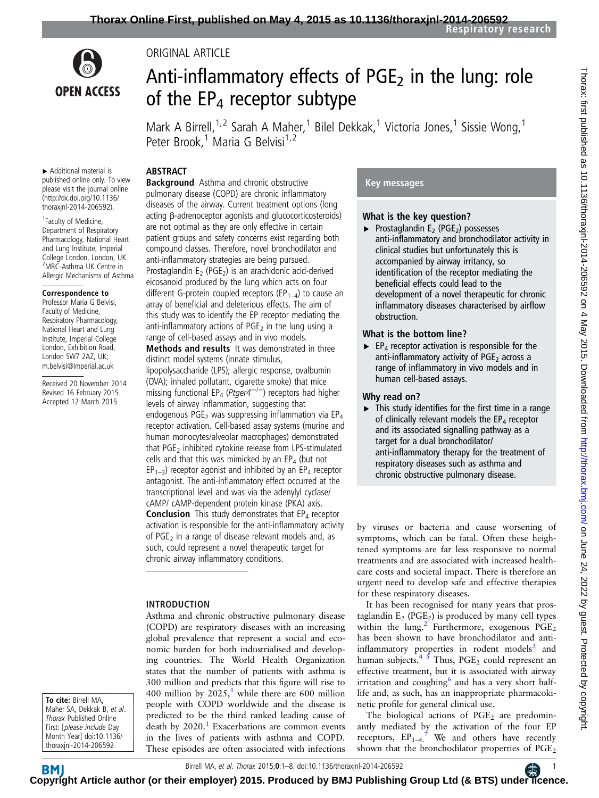

ORIGINAL ARTICLE

# Anti-inflammatory effects of  $PGE<sub>2</sub>$  in the lung: role of the  $EP_4$  receptor subtype

Mark A Birrell,<sup>1,2</sup> Sarah A Maher,<sup>1</sup> Bilel Dekkak,<sup>1</sup> Victoria Jones,<sup>1</sup> Sissie Wong,<sup>1</sup> Peter Brook,<sup>1</sup> Maria G Belvisi<sup>1,2</sup>

## ABSTRACT

▸ Additional material is published online only. To view please visit the journal online [\(http://dx.doi.org/10.1136/](http://dx.doi.org/10.1136/thoraxjnl-2014-206592) [thoraxjnl-2014-206592\)](http://dx.doi.org/10.1136/thoraxjnl-2014-206592).

1 Faculty of Medicine, Department of Respiratory Pharmacology, National Heart and Lung Institute, Imperial College London, London, UK <sup>2</sup>MRC-Asthma UK Centre in Allergic Mechanisms of Asthma

#### Correspondence to

Professor Maria G Belvisi, Faculty of Medicine, Respiratory Pharmacology, National Heart and Lung Institute, Imperial College London, Exhibition Road, London SW7 2AZ, UK; m.belvisi@imperial.ac.uk

Received 20 November 2014 Revised 16 February 2015 Accepted 12 March 2015

Background Asthma and chronic obstructive pulmonary disease (COPD) are chronic inflammatory diseases of the airway. Current treatment options (long acting β-adrenoceptor agonists and glucocorticosteroids) are not optimal as they are only effective in certain patient groups and safety concerns exist regarding both compound classes. Therefore, novel bronchodilator and anti-inflammatory strategies are being pursued. Prostaglandin  $E_2$  (PGE<sub>2</sub>) is an arachidonic acid-derived eicosanoid produced by the lung which acts on four different G-protein coupled receptors ( $EP_{1-4}$ ) to cause an array of beneficial and deleterious effects. The aim of this study was to identify the EP receptor mediating the anti-inflammatory actions of  $PGE<sub>2</sub>$  in the lung using a range of cell-based assays and in vivo models. **Methods and results** It was demonstrated in three distinct model systems (innate stimulus, lipopolysaccharide (LPS); allergic response, ovalbumin (OVA); inhaled pollutant, cigarette smoke) that mice missing functional EP<sub>4</sub> (Ptger4<sup>-/-</sup>) receptors had higher levels of airway inflammation, suggesting that endogenous PGE<sub>2</sub> was suppressing inflammation via  $EP_4$ receptor activation. Cell-based assay systems (murine and human monocytes/alveolar macrophages) demonstrated that  $PGE<sub>2</sub>$  inhibited cytokine release from LPS-stimulated cells and that this was mimicked by an  $EP_4$  (but not

 $EP_{1-3}$ ) receptor agonist and inhibited by an  $EP_4$  receptor antagonist. The anti-inflammatory effect occurred at the transcriptional level and was via the adenylyl cyclase/ cAMP/ cAMP-dependent protein kinase (PKA) axis. **Conclusion** This study demonstrates that  $EP_4$  receptor activation is responsible for the anti-inflammatory activity of PGE<sub>2</sub> in a range of disease relevant models and, as such, could represent a novel therapeutic target for chronic airway inflammatory conditions.

# INTRODUCTION

Asthma and chronic obstructive pulmonary disease (COPD) are respiratory diseases with an increasing global prevalence that represent a social and economic burden for both industrialised and developing countries. The World Health Organization states that the number of patients with asthma is 300 million and predicts that this figure will rise to 400 million by  $2025<sup>1</sup>$  $2025<sup>1</sup>$  $2025<sup>1</sup>$ , while there are 600 million people with COPD worldwide and the disease is predicted to be the third ranked leading cause of death by  $2020$ .<sup>1</sup> Exacerbations are common events in the lives of patients with asthma and COPD. These episodes are often associated with infections

# Key messages

# What is the key question?

 $\blacktriangleright$  Prostaglandin E<sub>2</sub> (PGE<sub>2</sub>) possesses anti-inflammatory and bronchodilator activity in clinical studies but unfortunately this is accompanied by airway irritancy, so identification of the receptor mediating the beneficial effects could lead to the development of a novel therapeutic for chronic inflammatory diseases characterised by airflow obstruction.

# What is the bottom line?

 $\blacktriangleright$  EP<sub>4</sub> receptor activation is responsible for the anti-inflammatory activity of  $PGE<sub>2</sub>$  across a range of inflammatory in vivo models and in human cell-based assays.

# Why read on?

▸ This study identifies for the first time in a range of clinically relevant models the  $EP_4$  receptor and its associated signalling pathway as a target for a dual bronchodilator/ anti-inflammatory therapy for the treatment of respiratory diseases such as asthma and chronic obstructive pulmonary disease.

by viruses or bacteria and cause worsening of symptoms, which can be fatal. Often these heightened symptoms are far less responsive to normal treatments and are associated with increased healthcare costs and societal impact. There is therefore an urgent need to develop safe and effective therapies for these respiratory diseases.

It has been recognised for many years that prostaglandin  $E_2$  (PGE<sub>2</sub>) is produced by many cell types within the lung.<sup>[2](#page-6-0)</sup> Furthermore, exogenous  $PGE_2$ has been shown to have bronchodilator and antiinflammatory properties in rodent models $3$  and human subjects.<sup>4  $\bar{s}$ </sup> Thus, PGE<sub>2</sub> could represent an effective treatment, but it is associated with airway irritation and coughing $<sup>6</sup>$  $<sup>6</sup>$  $<sup>6</sup>$  and has a very short half-</sup> life and, as such, has an inappropriate pharmacokinetic profile for general clinical use.

The biological actions of  $PGE<sub>2</sub>$  are predominantly mediated by the activation of the four EP receptors,  $EP_{1-4}$ <sup>[7](#page-6-0)</sup> We and others have recently shown that the bronchodilator properties of PGE<sub>2</sub>

To cite: Birrell MA, Maher SA, Dekkak B, et al. Thorax Published Online First: [please include Day Month Year] doi:10.1136/ thoraxjnl-2014-206592

**BM C[opyrig](http://thorax.bmj.com/)ht Article author (or their employer) 2015. Produced by BMJ Publishing Group Ltd (& BTS) unde[r lic](https://www.brit-thoracic.org.uk/)ence.**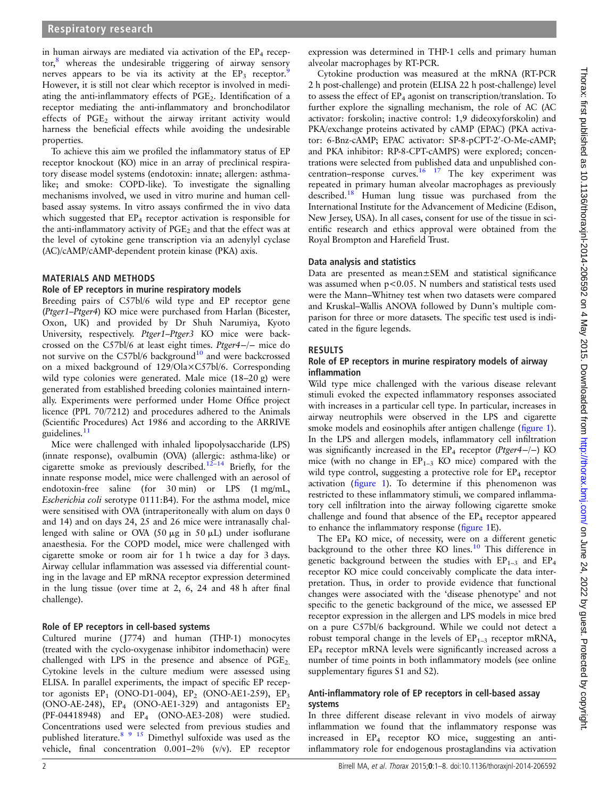in human airways are mediated via activation of the  $EP_4$  recep-tor,<sup>[8](#page-6-0)</sup> whereas the undesirable triggering of airway sensory nerves appears to be via its activity at the  $EP_3$  receptor. However, it is still not clear which receptor is involved in mediating the anti-inflammatory effects of  $PGE<sub>2</sub>$ . Identification of a receptor mediating the anti-inflammatory and bronchodilator effects of PGE<sub>2</sub> without the airway irritant activity would harness the beneficial effects while avoiding the undesirable properties.

To achieve this aim we profiled the inflammatory status of EP receptor knockout (KO) mice in an array of preclinical respiratory disease model systems (endotoxin: innate; allergen: asthmalike; and smoke: COPD-like). To investigate the signalling mechanisms involved, we used in vitro murine and human cellbased assay systems. In vitro assays confirmed the in vivo data which suggested that  $EP_4$  receptor activation is responsible for the anti-inflammatory activity of  $PGE<sub>2</sub>$  and that the effect was at the level of cytokine gene transcription via an adenylyl cyclase (AC)/cAMP/cAMP-dependent protein kinase (PKA) axis.

## MATERIALS AND METHODS

## Role of EP receptors in murine respiratory models

Breeding pairs of C57bl/6 wild type and EP receptor gene (Ptger1–Ptger4) KO mice were purchased from Harlan (Bicester, Oxon, UK) and provided by Dr Shuh Narumiya, Kyoto University, respectively. Ptger1–Ptger3 KO mice were backcrossed on the C57bl/6 at least eight times. Ptger4−/<sup>−</sup> mice do not survive on the C57bl/6 background<sup>[10](#page-6-0)</sup> and were backcrossed on a mixed background of 129/Ola×C57bl/6. Corresponding wild type colonies were generated. Male mice (18–20 g) were generated from established breeding colonies maintained internally. Experiments were performed under Home Office project licence (PPL 70/7212) and procedures adhered to the Animals (Scientific Procedures) Act 1986 and according to the ARRIVE guidelines.<sup>[11](#page-6-0)</sup>

Mice were challenged with inhaled lipopolysaccharide (LPS) (innate response), ovalbumin (OVA) (allergic: asthma-like) or cigarette smoke as previously described.12–[14](#page-6-0) Briefly, for the innate response model, mice were challenged with an aerosol of endotoxin-free saline (for 30 min) or LPS (1 mg/mL, Escherichia coli serotype 0111:B4). For the asthma model, mice were sensitised with OVA (intraperitoneally with alum on days 0 and 14) and on days 24, 25 and 26 mice were intranasally challenged with saline or OVA (50  $\mu$ g in 50  $\mu$ L) under isoflurane anaesthesia. For the COPD model, mice were challenged with cigarette smoke or room air for 1 h twice a day for 3 days. Airway cellular inflammation was assessed via differential counting in the lavage and EP mRNA receptor expression determined in the lung tissue (over time at 2, 6, 24 and 48 h after final challenge).

#### Role of EP receptors in cell-based systems

Cultured murine ( J774) and human (THP-1) monocytes (treated with the cyclo-oxygenase inhibitor indomethacin) were challenged with LPS in the presence and absence of  $PGE_2$ . Cytokine levels in the culture medium were assessed using ELISA. In parallel experiments, the impact of specific EP receptor agonists  $EP_1$  (ONO-D1-004),  $EP_2$  (ONO-AE1-259),  $EP_3$ (ONO-AE-248),  $EP_4$  (ONO-AE1-329) and antagonists  $EP_2$ (PF-04418948) and EP4 (ONO-AE3-208) were studied. Concentrations used were selected from previous studies and published literature.[8 9](#page-6-0) [15](#page-7-0) Dimethyl sulfoxide was used as the vehicle, final concentration 0.001–2% (v/v). EP receptor

expression was determined in THP-1 cells and primary human alveolar macrophages by RT-PCR.

Cytokine production was measured at the mRNA (RT-PCR 2 h post-challenge) and protein (ELISA 22 h post-challenge) level to assess the effect of  $EP_4$  agonist on transcription/translation. To further explore the signalling mechanism, the role of AC (AC activator: forskolin; inactive control: 1,9 dideoxyforskolin) and PKA/exchange proteins activated by cAMP (EPAC) (PKA activator: 6-Bnz-cAMP; EPAC activator: SP-8-pCPT-2'-O-Me-cAMP; and PKA inhibitor: RP-8-CPT-cAMPS) were explored; concentrations were selected from published data and unpublished concentration–response curves.  $16 \t17$  The key experiment was repeated in primary human alveolar macrophages as previously described[.18](#page-7-0) Human lung tissue was purchased from the International Institute for the Advancement of Medicine (Edison, New Jersey, USA). In all cases, consent for use of the tissue in scientific research and ethics approval were obtained from the Royal Brompton and Harefield Trust.

#### Data analysis and statistics

Data are presented as mean±SEM and statistical significance was assumed when p<0.05. N numbers and statistical tests used were the Mann–Whitney test when two datasets were compared and Kruskal–Wallis ANOVA followed by Dunn's multiple comparison for three or more datasets. The specific test used is indicated in the figure legends.

## RESULTS

## Role of EP receptors in murine respiratory models of airway inflammation

Wild type mice challenged with the various disease relevant stimuli evoked the expected inflammatory responses associated with increases in a particular cell type. In particular, increases in airway neutrophils were observed in the LPS and cigarette smoke models and eosinophils after antigen challenge (fi[gure 1\)](#page-2-0). In the LPS and allergen models, inflammatory cell infiltration was significantly increased in the  $EP_4$  receptor (Ptger4−/−) KO mice (with no change in  $EP_{1-3}$  KO mice) compared with the wild type control, suggesting a protective role for  $EP_4$  receptor activation (fi[gure 1](#page-2-0)). To determine if this phenomenon was restricted to these inflammatory stimuli, we compared inflammatory cell infiltration into the airway following cigarette smoke challenge and found that absence of the  $EP_4$  receptor appeared to enhance the inflammatory response (fi[gure 1E](#page-2-0)).

The EP4 KO mice, of necessity, were on a different genetic background to the other three KO lines.<sup>[10](#page-6-0)</sup> This difference in genetic background between the studies with  $EP_{1-3}$  and  $EP_4$ receptor KO mice could conceivably complicate the data interpretation. Thus, in order to provide evidence that functional changes were associated with the 'disease phenotype' and not specific to the genetic background of the mice, we assessed EP receptor expression in the allergen and LPS models in mice bred on a pure C57bl/6 background. While we could not detect a robust temporal change in the levels of  $EP_{1-3}$  receptor mRNA, EP4 receptor mRNA levels were significantly increased across a number of time points in both inflammatory models (see online supplementary figures S1 and S2).

## Anti-inflammatory role of EP receptors in cell-based assay systems

In three different disease relevant in vivo models of airway inflammation we found that the inflammatory response was increased in EP4 receptor KO mice, suggesting an antiinflammatory role for endogenous prostaglandins via activation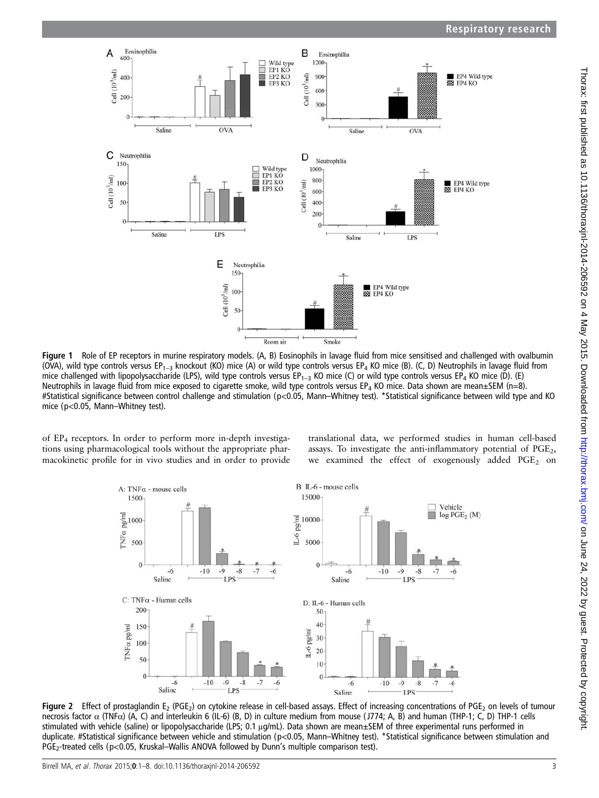<span id="page-2-0"></span>

Figure 1 Role of EP receptors in murine respiratory models. (A, B) Eosinophils in lavage fluid from mice sensitised and challenged with ovalbumin (OVA), wild type controls versus EP<sub>1–3</sub> knockout (KO) mice (A) or wild type controls versus EP<sub>4</sub> KO mice (B). (C, D) Neutrophils in lavage fluid from mice challenged with lipopolysaccharide (LPS), wild type controls versus EP<sub>1–3</sub> KO mice (C) or wild type controls versus EP<sub>4</sub> KO mice (D). (E) Neutrophils in lavage fluid from mice exposed to cigarette smoke, wild type controls versus EP<sub>4</sub> KO mice. Data shown are mean $\pm$ SEM (n=8). #Statistical significance between control challenge and stimulation (p<0.05, Mann–Whitney test). \*Statistical significance between wild type and KO mice (p<0.05, Mann–Whitney test).

of  $EP_4$  receptors. In order to perform more in-depth investigations using pharmacological tools without the appropriate pharmacokinetic profile for in vivo studies and in order to provide

translational data, we performed studies in human cell-based assays. To investigate the anti-inflammatory potential of  $PGE<sub>2</sub>$ , we examined the effect of exogenously added PGE<sub>2</sub> on



Figure 2 Effect of prostaglandin E<sub>2</sub> (PGE<sub>2</sub>) on cytokine release in cell-based assays. Effect of increasing concentrations of PGE<sub>2</sub> on levels of tumour necrosis factor α (TNFα) (A, C) and interleukin 6 (IL-6) (B, D) in culture medium from mouse ( J774; A, B) and human (THP-1; C, D) THP-1 cells stimulated with vehicle (saline) or lipopolysaccharide (LPS; 0.1 μg/mL). Data shown are mean±SEM of three experimental runs performed in duplicate. #Statistical significance between vehicle and stimulation (p<0.05, Mann–Whitney test). \*Statistical significance between stimulation and PGE<sub>2</sub>-treated cells (p<0.05, Kruskal–Wallis ANOVA followed by Dunn's multiple comparison test).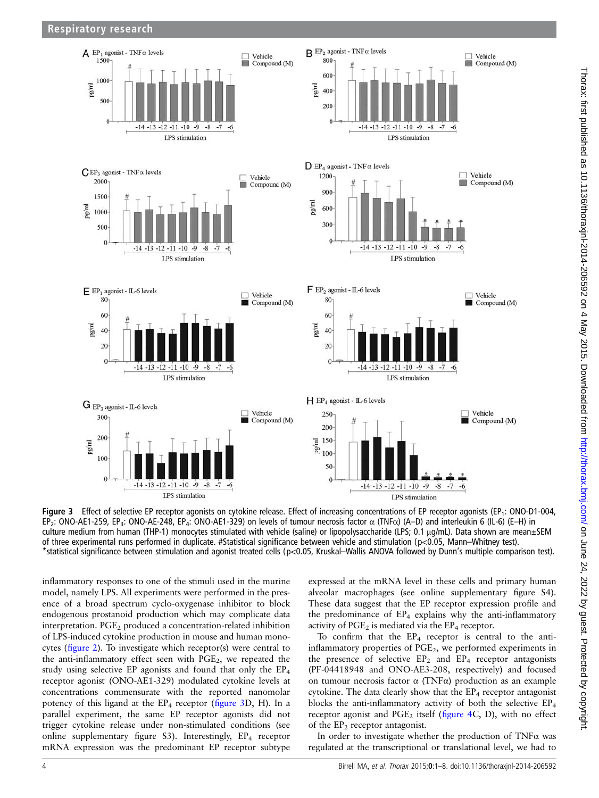

Figure 3 Effect of selective EP receptor agonists on cytokine release. Effect of increasing concentrations of EP receptor agonists (EP<sub>1</sub>: ONO-D1-004, EP2: ONO-AE1-259, EP3: ONO-AE-248, EP4: ONO-AE1-329) on levels of tumour necrosis factor α (TNFα) (A–D) and interleukin 6 (IL-6) (E–H) in culture medium from human (THP-1) monocytes stimulated with vehicle (saline) or lipopolysaccharide (LPS; 0.1 μg/mL). Data shown are mean±SEM of three experimental runs performed in duplicate. #Statistical significance between vehicle and stimulation (p<0.05, Mann–Whitney test). \*statistical significance between stimulation and agonist treated cells (p<0.05, Kruskal–Wallis ANOVA followed by Dunn's multiple comparison test).

inflammatory responses to one of the stimuli used in the murine model, namely LPS. All experiments were performed in the presence of a broad spectrum cyclo-oxygenase inhibitor to block endogenous prostanoid production which may complicate data interpretation. PGE<sub>2</sub> produced a concentration-related inhibition of LPS-induced cytokine production in mouse and human monocytes (fi[gure 2](#page-2-0)). To investigate which receptor(s) were central to the anti-inflammatory effect seen with  $PGE<sub>2</sub>$ , we repeated the study using selective EP agonists and found that only the EP4 receptor agonist (ONO-AE1-329) modulated cytokine levels at concentrations commensurate with the reported nanomolar potency of this ligand at the  $EP_4$  receptor (figure 3D, H). In a parallel experiment, the same EP receptor agonists did not trigger cytokine release under non-stimulated conditions (see online supplementary figure S3). Interestingly,  $EP_4$  receptor mRNA expression was the predominant EP receptor subtype

expressed at the mRNA level in these cells and primary human alveolar macrophages (see online supplementary figure S4). These data suggest that the EP receptor expression profile and the predominance of  $EP_4$  explains why the anti-inflammatory activity of  $PGE_2$  is mediated via the  $EP_4$  receptor.

To confirm that the  $EP_4$  receptor is central to the antiinflammatory properties of PGE<sub>2</sub>, we performed experiments in the presence of selective  $EP_2$  and  $EP_4$  receptor antagonists (PF-04418948 and ONO-AE3-208, respectively) and focused on tumour necrosis factor α (TNFα) production as an example cytokine. The data clearly show that the  $EP_4$  receptor antagonist blocks the anti-inflammatory activity of both the selective EP4 receptor agonist and  $PGE_2$  itself (fi[gure 4C](#page-4-0), D), with no effect of the  $EP<sub>2</sub>$  receptor antagonist.

In order to investigate whether the production of TNFα was regulated at the transcriptional or translational level, we had to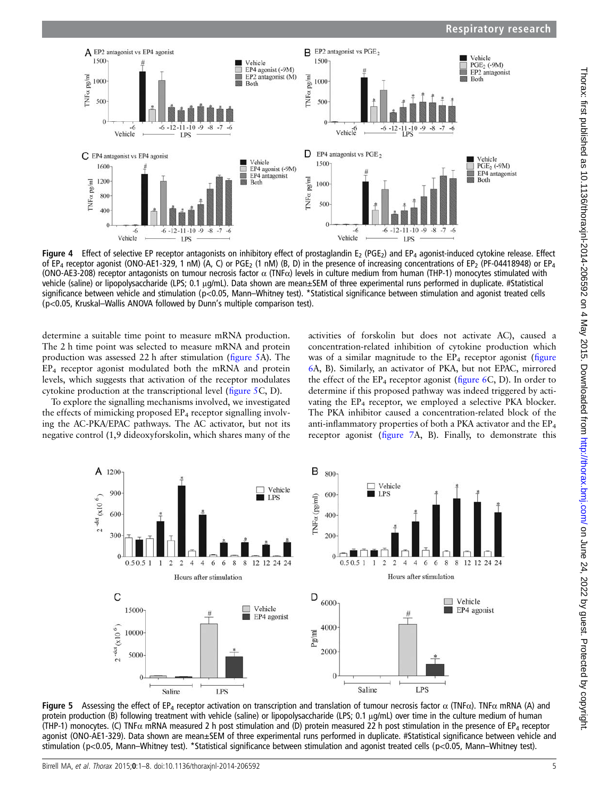<span id="page-4-0"></span>

Figure 4 Effect of selective EP receptor antagonists on inhibitory effect of prostaglandin  $E_2$  (PGE<sub>2</sub>) and EP<sub>4</sub> agonist-induced cytokine release. Effect of EP<sub>4</sub> receptor agonist (ONO-AE1-329, 1 nM) (A, C) or PGE<sub>2</sub> (1 nM) (B, D) in the presence of increasing concentrations of EP<sub>2</sub> (PF-04418948) or EP<sub>4</sub> (ONO-AE3-208) receptor antagonists on tumour necrosis factor  $\alpha$  (TNF $\alpha$ ) levels in culture medium from human (THP-1) monocytes stimulated with vehicle (saline) or lipopolysaccharide (LPS; 0.1 μg/mL). Data shown are mean±SEM of three experimental runs performed in duplicate. #Statistical significance between vehicle and stimulation (p<0.05, Mann–Whitney test). \*Statistical significance between stimulation and agonist treated cells (p<0.05, Kruskal–Wallis ANOVA followed by Dunn's multiple comparison test).

determine a suitable time point to measure mRNA production. The 2 h time point was selected to measure mRNA and protein production was assessed 22 h after stimulation (figure 5A). The EP4 receptor agonist modulated both the mRNA and protein levels, which suggests that activation of the receptor modulates cytokine production at the transcriptional level (figure 5C, D).

To explore the signalling mechanisms involved, we investigated the effects of mimicking proposed EP<sub>4</sub> receptor signalling involving the AC-PKA/EPAC pathways. The AC activator, but not its negative control (1,9 dideoxyforskolin, which shares many of the

activities of forskolin but does not activate AC), caused a concentration-related inhibition of cytokine production which was of a similar magnitude to the  $EP_4$  receptor agonist (fi[gure](#page-5-0) [6A](#page-5-0), B). Similarly, an activator of PKA, but not EPAC, mirrored the effect of the  $EP_4$  receptor agonist (fi[gure 6](#page-5-0)C, D). In order to determine if this proposed pathway was indeed triggered by activating the EP<sub>4</sub> receptor, we employed a selective PKA blocker. The PKA inhibitor caused a concentration-related block of the anti-inflammatory properties of both a PKA activator and the EP4 receptor agonist (fi[gure 7A](#page-6-0), B). Finally, to demonstrate this



Figure 5 Assessing the effect of EP<sub>4</sub> receptor activation on transcription and translation of tumour necrosis factor α (TNFα). TNFα mRNA (A) and protein production (B) following treatment with vehicle (saline) or lipopolysaccharide (LPS; 0.1 μg/mL) over time in the culture medium of human (THP-1) monocytes. (C) TNF $\alpha$  mRNA measured 2 h post stimulation and (D) protein measured 22 h post stimulation in the presence of EP<sub>4</sub> receptor agonist (ONO-AE1-329). Data shown are mean±SEM of three experimental runs performed in duplicate. #Statistical significance between vehicle and stimulation (p<0.05, Mann–Whitney test). \*Statistical significance between stimulation and agonist treated cells (p<0.05, Mann–Whitney test).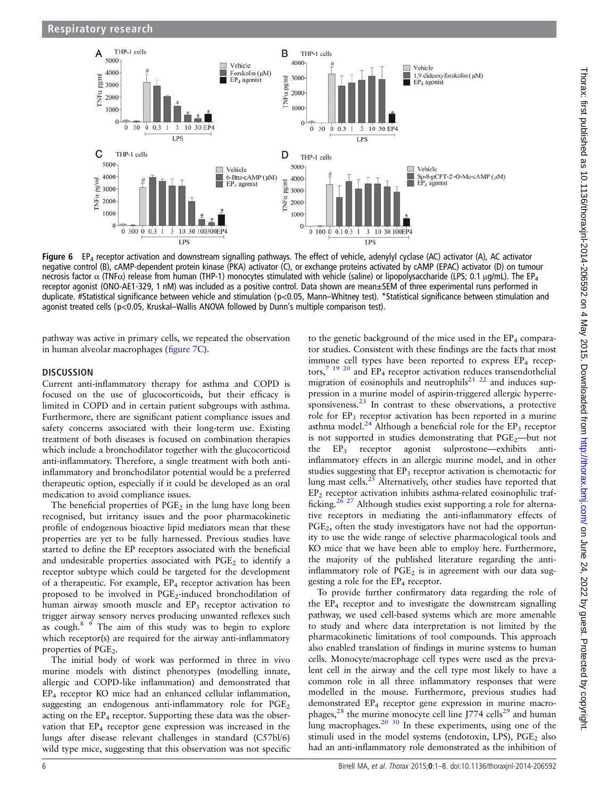<span id="page-5-0"></span>

Figure 6 EP<sub>4</sub> receptor activation and downstream signalling pathways. The effect of vehicle, adenylyl cyclase (AC) activator (A), AC activator negative control (B), cAMP-dependent protein kinase (PKA) activator (C), or exchange proteins activated by cAMP (EPAC) activator (D) on tumour necrosis factor  $\alpha$  (TNF $\alpha$ ) release from human (THP-1) monocytes stimulated with vehicle (saline) or lipopolysaccharide (LPS; 0.1 μg/mL). The EP<sub>4</sub> receptor agonist (ONO-AE1-329, 1 nM) was included as a positive control. Data shown are mean±SEM of three experimental runs performed in duplicate. #Statistical significance between vehicle and stimulation (p<0.05, Mann–Whitney test). \*Statistical significance between stimulation and agonist treated cells (p<0.05, Kruskal–Wallis ANOVA followed by Dunn's multiple comparison test).

pathway was active in primary cells, we repeated the observation in human alveolar macrophages (fi[gure 7](#page-6-0)C).

## **DISCUSSION**

Current anti-inflammatory therapy for asthma and COPD is focused on the use of glucocorticoids, but their efficacy is limited in COPD and in certain patient subgroups with asthma. Furthermore, there are significant patient compliance issues and safety concerns associated with their long-term use. Existing treatment of both diseases is focused on combination therapies which include a bronchodilator together with the glucocorticoid anti-inflammatory. Therefore, a single treatment with both antiinflammatory and bronchodilator potential would be a preferred therapeutic option, especially if it could be developed as an oral medication to avoid compliance issues.

The beneficial properties of  $PGE<sub>2</sub>$  in the lung have long been recognised, but irritancy issues and the poor pharmacokinetic profile of endogenous bioactive lipid mediators mean that these properties are yet to be fully harnessed. Previous studies have started to define the EP receptors associated with the beneficial and undesirable properties associated with  $PGE<sub>2</sub>$  to identify a receptor subtype which could be targeted for the development of a therapeutic. For example,  $EP_4$  receptor activation has been proposed to be involved in PGE<sub>2</sub>-induced bronchodilation of human airway smooth muscle and EP<sub>3</sub> receptor activation to trigger airway sensory nerves producing unwanted reflexes such as cough.[8 9](#page-6-0) The aim of this study was to begin to explore which receptor(s) are required for the airway anti-inflammatory properties of PGE<sub>2</sub>.

The initial body of work was performed in three in vivo murine models with distinct phenotypes (modelling innate, allergic and COPD-like inflammation) and demonstrated that EP4 receptor KO mice had an enhanced cellular inflammation, suggesting an endogenous anti-inflammatory role for  $PGE<sub>2</sub>$ acting on the  $EP_4$  receptor. Supporting these data was the observation that  $EP_4$  receptor gene expression was increased in the lungs after disease relevant challenges in standard (C57bl/6) wild type mice, suggesting that this observation was not specific

to the genetic background of the mice used in the  $EP_4$  comparator studies. Consistent with these findings are the facts that most immune cell types have been reported to express EP<sub>4</sub> receptors, $7^{19}$  $7^{19}$   $^{20}$  and EP<sub>4</sub> receptor activation reduces transendothelial migration of eosinophils and neutrophils<sup>[21 22](#page-7-0)</sup> and induces suppression in a murine model of aspirin-triggered allergic hyperre-sponsiveness.<sup>[23](#page-7-0)</sup> In contrast to these observations, a protective role for EP<sub>3</sub> receptor activation has been reported in a murine asthma model.<sup>[24](#page-7-0)</sup> Although a beneficial role for the  $EP_3$  receptor is not supported in studies demonstrating that  $PGE_2$ —but not  $EP_3$  receptor agonist sulprostone—exhibits antiinflammatory effects in an allergic murine model, and in other studies suggesting that  $EP_3$  receptor activation is chemotactic for lung mast cells. $25$  Alternatively, other studies have reported that EP2 receptor activation inhibits asthma-related eosinophilic traf-ficking.<sup>[26 27](#page-7-0)</sup> Although studies exist supporting a role for alternative receptors in mediating the anti-inflammatory effects of PGE<sub>2</sub>, often the study investigators have not had the opportunity to use the wide range of selective pharmacological tools and KO mice that we have been able to employ here. Furthermore, the majority of the published literature regarding the antiinflammatory role of  $PGE_2$  is in agreement with our data suggesting a role for the  $EP_4$  receptor.

To provide further confirmatory data regarding the role of the  $EP_4$  receptor and to investigate the downstream signalling pathway, we used cell-based systems which are more amenable to study and where data interpretation is not limited by the pharmacokinetic limitations of tool compounds. This approach also enabled translation of findings in murine systems to human cells. Monocyte/macrophage cell types were used as the prevalent cell in the airway and the cell type most likely to have a common role in all three inflammatory responses that were modelled in the mouse. Furthermore, previous studies had demonstrated EP<sub>4</sub> receptor gene expression in murine macrophages, $28$  the murine monocyte cell line J774 cells<sup>[29](#page-7-0)</sup> and human lung macrophages. $20\frac{30}{10}$  In these experiments, using one of the stimuli used in the model systems (endotoxin, LPS),  $PGE<sub>2</sub>$  also had an anti-inflammatory role demonstrated as the inhibition of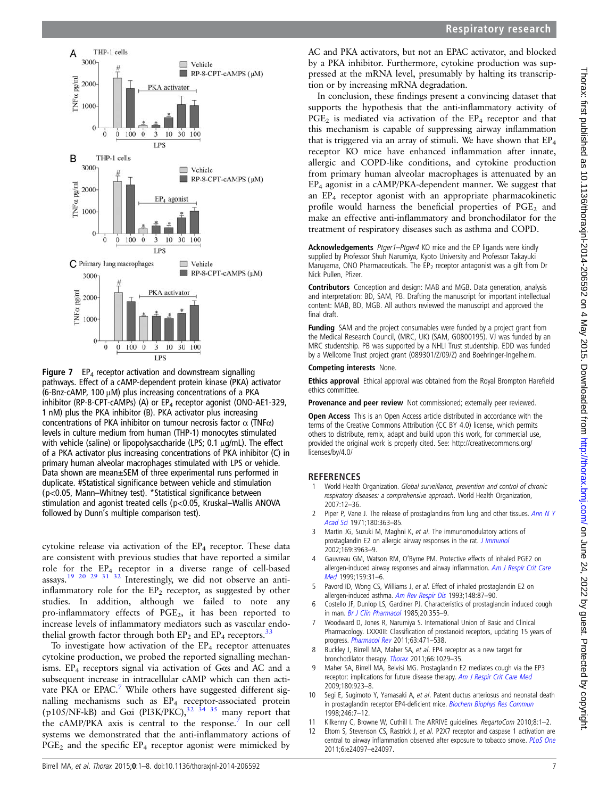<span id="page-6-0"></span>

**Figure 7** EP<sub>4</sub> receptor activation and downstream signalling pathways. Effect of a cAMP-dependent protein kinase (PKA) activator (6-Bnz-cAMP, 100 μM) plus increasing concentrations of a PKA inhibitor (RP-8-CPT-cAMPs) (A) or  $EP_4$  receptor agonist (ONO-AE1-329, 1 nM) plus the PKA inhibitor (B). PKA activator plus increasing concentrations of PKA inhibitor on tumour necrosis factor  $\alpha$  (TNF $\alpha$ ) levels in culture medium from human (THP-1) monocytes stimulated with vehicle (saline) or lipopolysaccharide (LPS; 0.1 μg/mL). The effect of a PKA activator plus increasing concentrations of PKA inhibitor (C) in primary human alveolar macrophages stimulated with LPS or vehicle. Data shown are mean±SEM of three experimental runs performed in duplicate. #Statistical significance between vehicle and stimulation (p<0.05, Mann–Whitney test). \*Statistical significance between stimulation and agonist treated cells (p<0.05, Kruskal–Wallis ANOVA followed by Dunn's multiple comparison test).

cytokine release via activation of the EP<sub>4</sub> receptor. These data are consistent with previous studies that have reported a similar role for the EP4 receptor in a diverse range of cell-based assays.[19 20 29 31 32](#page-7-0) Interestingly, we did not observe an antiinflammatory role for the  $EP_2$  receptor, as suggested by other studies. In addition, although we failed to note any pro-inflammatory effects of PGE2, it has been reported to increase levels of inflammatory mediators such as vascular endothelial growth factor through both  $EP_2$  and  $EP_4$  receptors.<sup>[33](#page-7-0)</sup>

To investigate how activation of the  $EP_4$  receptor attenuates cytokine production, we probed the reported signalling mechanisms. EP4 receptors signal via activation of Gαs and AC and a subsequent increase in intracellular cAMP which can then activate PKA or EPAC.<sup>7</sup> While others have suggested different signalling mechanisms such as EP<sub>4</sub> receptor-associated protein (p105/NF-kB) and G $\alpha$ i (PI3K/PKC),<sup>[32 34 35](#page-7-0)</sup> many report that the cAMP/PKA axis is central to the response.<sup>7</sup> In our cell systems we demonstrated that the anti-inflammatory actions of PGE<sub>2</sub> and the specific EP<sub>4</sub> receptor agonist were mimicked by

AC and PKA activators, but not an EPAC activator, and blocked by a PKA inhibitor. Furthermore, cytokine production was suppressed at the mRNA level, presumably by halting its transcription or by increasing mRNA degradation.

In conclusion, these findings present a convincing dataset that supports the hypothesis that the anti-inflammatory activity of  $PGE_2$  is mediated via activation of the  $EP_4$  receptor and that this mechanism is capable of suppressing airway inflammation that is triggered via an array of stimuli. We have shown that  $EP_4$ receptor KO mice have enhanced inflammation after innate, allergic and COPD-like conditions, and cytokine production from primary human alveolar macrophages is attenuated by an EP4 agonist in a cAMP/PKA-dependent manner. We suggest that an EP4 receptor agonist with an appropriate pharmacokinetic profile would harness the beneficial properties of  $PGE<sub>2</sub>$  and make an effective anti-inflammatory and bronchodilator for the treatment of respiratory diseases such as asthma and COPD.

Acknowledgements Ptger1-Ptger4 KO mice and the EP ligands were kindly supplied by Professor Shuh Narumiya, Kyoto University and Professor Takayuki Maruyama, ONO Pharmaceuticals. The  $EP_2$  receptor antagonist was a gift from Dr Nick Pullen, Pfizer.

Contributors Conception and design: MAB and MGB. Data generation, analysis and interpretation: BD, SAM, PB. Drafting the manuscript for important intellectual content: MAB, BD, MGB. All authors reviewed the manuscript and approved the final draft.

Funding SAM and the project consumables were funded by a project grant from the Medical Research Council, (MRC, UK) (SAM, G0800195). VJ was funded by an MRC studentship. PB was supported by a NHLI Trust studentship. EDD was funded by a Wellcome Trust project grant (089301/Z/09/Z) and Boehringer-Ingelheim.

## Competing interests None.

**Ethics approval** Ethical approval was obtained from the Royal Brompton Harefield ethics committee.

Provenance and peer review Not commissioned; externally peer reviewed.

Open Access This is an Open Access article distributed in accordance with the terms of the Creative Commons Attribution (CC BY 4.0) license, which permits others to distribute, remix, adapt and build upon this work, for commercial use, provided the original work is properly cited. See: [http://creativecommons.org/](http://creativecommons.org/licenses/by/4.0/) [licenses/by/4.0/](http://creativecommons.org/licenses/by/4.0/)

# **REFERENCES**

- World Health Organization. Global surveillance, prevention and control of chronic respiratory diseases: a comprehensive approach. World Health Organization, 2007:12–36.
- Piper P, Vane J. The release of prostaglandins from lung and other tissues. [Ann N Y](http://dx.doi.org/10.1111/j.1749-6632.1971.tb53205.x) [Acad Sci](http://dx.doi.org/10.1111/j.1749-6632.1971.tb53205.x) 1971;180:363–85.
- 3 Martin JG, Suzuki M, Maghni K, et al. The immunomodulatory actions of prostaglandin E2 on allergic airway responses in the rat. *[J Immunol](http://dx.doi.org/10.4049/jimmunol.169.7.3963)* 2002;169:3963–9.
- 4 Gauvreau GM, Watson RM, O'Byrne PM. Protective effects of inhaled PGE2 on allergen-induced airway responses and airway inflammation. [Am J Respir Crit Care](http://dx.doi.org/10.1164/ajrccm.159.1.9804030) [Med](http://dx.doi.org/10.1164/ajrccm.159.1.9804030) 1999;159:31–6.
- 5 Pavord ID, Wong CS, Williams J, et al. Effect of inhaled prostaglandin E2 on allergen-induced asthma. [Am Rev Respir Dis](http://dx.doi.org/10.1164/ajrccm/148.1.87) 1993;148:87-90.
- 6 Costello JF, Dunlop LS, Gardiner PJ. Characteristics of prostaglandin induced cough in man. [Br J Clin Pharmacol](http://dx.doi.org/10.1111/j.1365-2125.1985.tb05077.x) 1985;20:355-9.
- 7 Woodward D, Jones R, Narumiya S. International Union of Basic and Clinical Pharmacology. LXXXIII: Classification of prostanoid receptors, updating 15 years of progress. [Pharmacol Rev](http://dx.doi.org/10.1124/pr.110.003517) 2011;63:471-538.
- 8 Buckley J, Birrell MA, Maher SA, et al. EP4 receptor as a new target for bronchodilator therapy. [Thorax](http://dx.doi.org/10.1136/thx.2010.158568) 2011;66:1029–35.
- 9 Maher SA, Birrell MA, Belvisi MG. Prostaglandin E2 mediates cough via the EP3 receptor: implications for future disease therapy. [Am J Respir Crit Care Med](http://dx.doi.org/10.1164/rccm.200903-0388OC) 2009;180:923–8.
- 10 Segi E, Sugimoto Y, Yamasaki A, et al. Patent ductus arteriosus and neonatal death in prostaglandin receptor EP4-deficient mice. [Biochem Biophys Res Commun](http://dx.doi.org/10.1006/bbrc.1998.8461) 1998;246:7–12.
- 11 Kilkenny C, Browne W, Cuthill I. The ARRIVE guidelines. RegartoCom 2010;8:1-2.
- 12 Eltom S, Stevenson CS, Rastrick J, et al. P2X7 receptor and caspase 1 activation are central to airway inflammation observed after exposure to tobacco smoke. [PLoS One](http://dx.doi.org/10.1371/journal.pone.0024097) 2011;6:e24097–e24097.